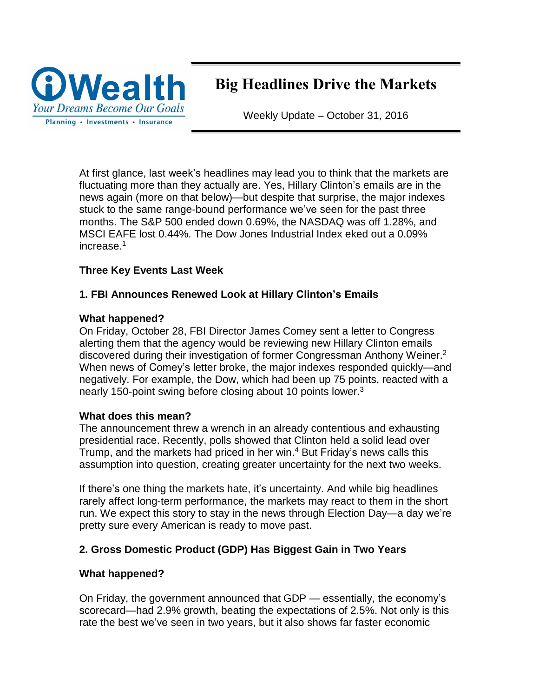

# Big Headlines Drive the Markets

Weekly Update – October 31, 2016

At first glance, last week's headlines may lead you to think that the markets are fluctuating more than they actually are. Yes, Hillary Clinton's emails are in the news again (more on that below)—but despite that surprise, the major indexes stuck to the same range-bound performance we've seen for the past three months. The S&P 500 ended down 0.69%, the NASDAQ was off 1.28%, and MSCI EAFE lost 0.44%. The Dow Jones Industrial Index eked out a 0.09% increase. 1

## **Three Key Events Last Week**

## **1. FBI Announces Renewed Look at Hillary Clinton's Emails**

#### **What happened?**

On Friday, October 28, FBI Director James Comey sent a letter to Congress alerting them that the agency would be reviewing new Hillary Clinton emails discovered during their investigation of former Congressman Anthony Weiner. 2 When news of Comey's letter broke, the major indexes responded quickly—and negatively. For example, the Dow, which had been up 75 points, reacted with a nearly 150-point swing before closing about 10 points lower.<sup>3</sup>

#### **What does this mean?**

The announcement threw a wrench in an already contentious and exhausting presidential race. Recently, polls showed that Clinton held a solid lead over Trump, and the markets had priced in her win. <sup>4</sup> But Friday's news calls this assumption into question, creating greater uncertainty for the next two weeks.

If there's one thing the markets hate, it's uncertainty. And while big headlines rarely affect long-term performance, the markets may react to them in the short run. We expect this story to stay in the news through Election Day—a day we're pretty sure every American is ready to move past.

## **2. Gross Domestic Product (GDP) Has Biggest Gain in Two Years**

## **What happened?**

On Friday, the government announced that GDP — essentially, the economy's scorecard—had 2.9% growth, beating the expectations of 2.5%. Not only is this rate the best we've seen in two years, but it also shows far faster economic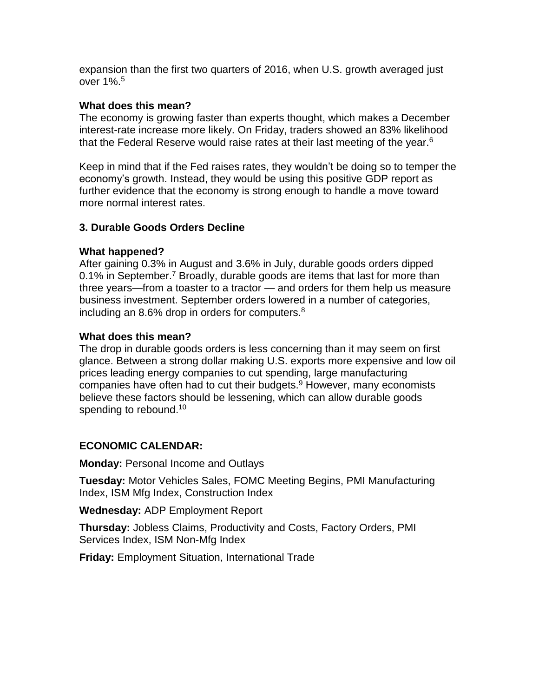expansion than the first two quarters of 2016, when U.S. growth averaged just over 1%. 5

#### **What does this mean?**

The economy is growing faster than experts thought, which makes a December interest-rate increase more likely. On Friday, traders showed an 83% likelihood that the Federal Reserve would raise rates at their last meeting of the year.<sup>6</sup>

Keep in mind that if the Fed raises rates, they wouldn't be doing so to temper the economy's growth. Instead, they would be using this positive GDP report as further evidence that the economy is strong enough to handle a move toward more normal interest rates.

## **3. Durable Goods Orders Decline**

#### **What happened?**

After gaining 0.3% in August and 3.6% in July, durable goods orders dipped 0.1% in September.<sup>7</sup> Broadly, durable goods are items that last for more than three years—from a toaster to a tractor — and orders for them help us measure business investment. September orders lowered in a number of categories, including an 8.6% drop in orders for computers.<sup>8</sup>

#### **What does this mean?**

The drop in durable goods orders is less concerning than it may seem on first glance. Between a strong dollar making U.S. exports more expensive and low oil prices leading energy companies to cut spending, large manufacturing companies have often had to cut their budgets. <sup>9</sup> However, many economists believe these factors should be lessening, which can allow durable goods spending to rebound.<sup>10</sup>

## **ECONOMIC CALENDAR:**

**Monday:** Personal Income and Outlays

**Tuesday:** Motor Vehicles Sales, FOMC Meeting Begins, PMI Manufacturing Index, ISM Mfg Index, Construction Index

**Wednesday:** ADP Employment Report

**Thursday:** Jobless Claims, Productivity and Costs, Factory Orders, PMI Services Index, ISM Non-Mfg Index

**Friday:** Employment Situation, International Trade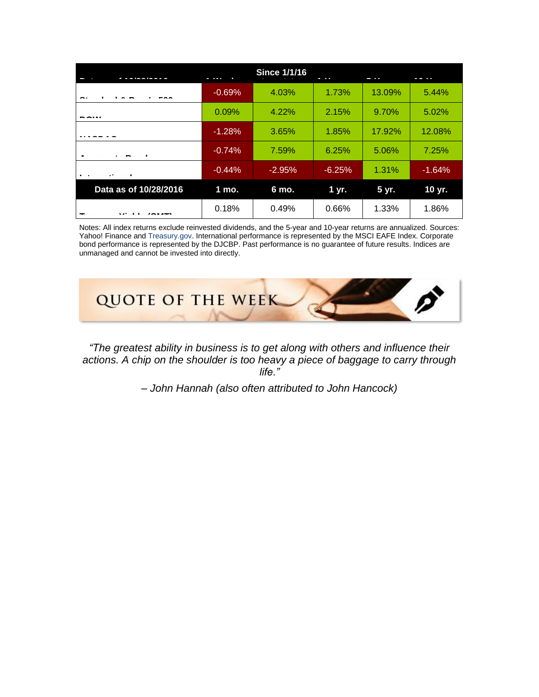| 10010010              | .<br>÷   | <b>Since 1/1/16</b> | 4.34     | - 17   | 1011     |
|-----------------------|----------|---------------------|----------|--------|----------|
|                       | $-0.69%$ | 4.03%               | 1.73%    | 13.09% | 5.44%    |
|                       | 0.09%    | 4.22%               | 2.15%    | 9.70%  | 5.02%    |
|                       | $-1.28%$ | 3.65%               | 1.85%    | 17.92% | 12.08%   |
|                       | $-0.74%$ | 7.59%               | 6.25%    | 5.06%  | 7.25%    |
| $\blacksquare$        | $-0.44%$ | $-2.95%$            | $-6.25%$ | 1.31%  | $-1.64%$ |
| Data as of 10/28/2016 | 1 mo.    | 6 mo.               | 1 yr.    | 5 yr.  | 10 yr.   |
|                       | 0.18%    | 0.49%               | 0.66%    | 1.33%  | 1.86%    |

Notes: All index returns exclude reinvested dividends, and the 5-year and 10-year returns are annualized. Sources: Yahoo! Finance and [Treasury.gov.](http://treasury.gov/) International performance is represented by the MSCI EAFE Index. Corporate bond performance is represented by the DJCBP. Past performance is no guarantee of future results. Indices are unmanaged and cannot be invested into directly.



*"The greatest ability in business is to get along with others and influence their actions. A chip on the shoulder is too heavy a piece of baggage to carry through life."*

*– John Hannah (also often attributed to John Hancock)*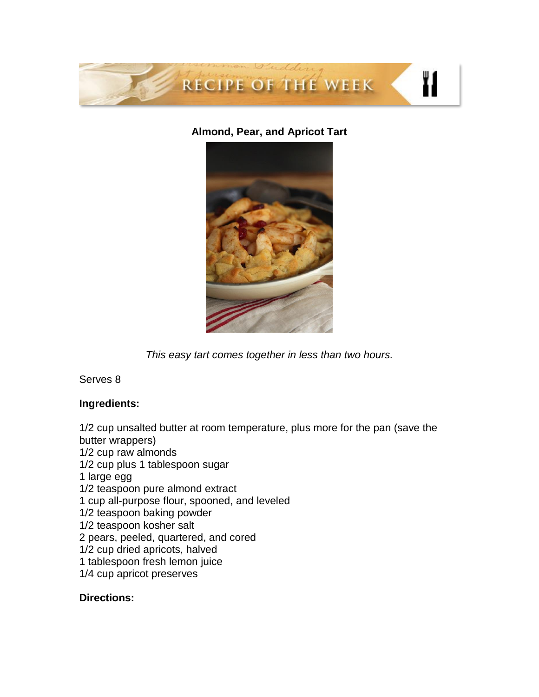

## **Almond, Pear, and Apricot Tart**



*This easy tart comes together in less than two hours.*

Serves 8

## **Ingredients:**

1/2 cup unsalted butter at room temperature, plus more for the pan (save the butter wrappers) 1/2 cup raw almonds 1/2 cup plus 1 tablespoon sugar 1 large egg 1/2 teaspoon pure almond extract 1 cup all-purpose flour, spooned, and leveled 1/2 teaspoon baking powder 1/2 teaspoon kosher salt 2 pears, peeled, quartered, and cored 1/2 cup dried apricots, halved 1 tablespoon fresh lemon juice 1/4 cup apricot preserves

## **Directions:**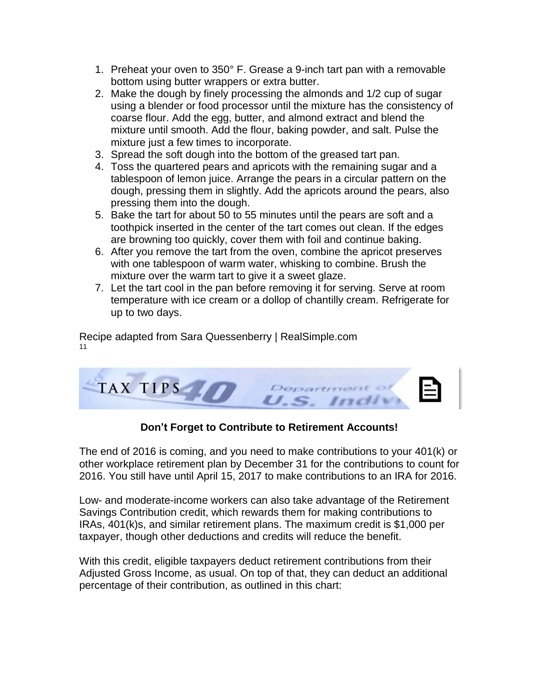- 1. Preheat your oven to 350° F. Grease a 9-inch tart pan with a removable bottom using butter wrappers or extra butter.
- 2. Make the dough by finely processing the almonds and 1/2 cup of sugar using a blender or food processor until the mixture has the consistency of coarse flour. Add the egg, butter, and almond extract and blend the mixture until smooth. Add the flour, baking powder, and salt. Pulse the mixture just a few times to incorporate.
- 3. Spread the soft dough into the bottom of the greased tart pan.
- 4. Toss the quartered pears and apricots with the remaining sugar and a tablespoon of lemon juice. Arrange the pears in a circular pattern on the dough, pressing them in slightly. Add the apricots around the pears, also pressing them into the dough.
- 5. Bake the tart for about 50 to 55 minutes until the pears are soft and a toothpick inserted in the center of the tart comes out clean. If the edges are browning too quickly, cover them with foil and continue baking.
- 6. After you remove the tart from the oven, combine the apricot preserves with one tablespoon of warm water, whisking to combine. Brush the mixture over the warm tart to give it a sweet glaze.
- 7. Let the tart cool in the pan before removing it for serving. Serve at room temperature with ice cream or a dollop of chantilly cream. Refrigerate for up to two days.

Recipe adapted from Sara Quessenberry | RealSimple.com 11



# **Don't Forget to Contribute to Retirement Accounts!**

The end of 2016 is coming, and you need to make contributions to your 401(k) or other workplace retirement plan by December 31 for the contributions to count for 2016. You still have until April 15, 2017 to make contributions to an IRA for 2016.

Low- and moderate-income workers can also take advantage of the Retirement Savings Contribution credit, which rewards them for making contributions to IRAs, 401(k)s, and similar retirement plans. The maximum credit is \$1,000 per taxpayer, though other deductions and credits will reduce the benefit.

With this credit, eligible taxpayers deduct retirement contributions from their Adjusted Gross Income, as usual. On top of that, they can deduct an additional percentage of their contribution, as outlined in this chart: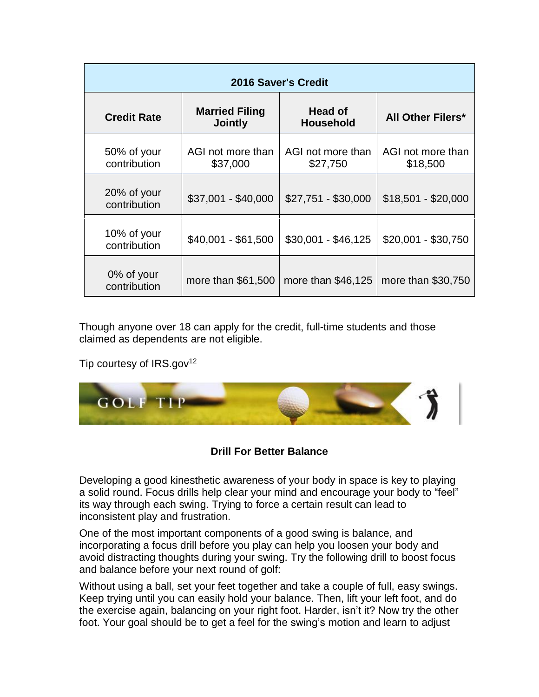| <b>2016 Saver's Credit</b>  |                                         |                                    |                               |  |  |  |  |
|-----------------------------|-----------------------------------------|------------------------------------|-------------------------------|--|--|--|--|
| <b>Credit Rate</b>          | <b>Married Filing</b><br><b>Jointly</b> | <b>Head of</b><br><b>Household</b> | <b>All Other Filers*</b>      |  |  |  |  |
| 50% of your<br>contribution | AGI not more than<br>\$37,000           | AGI not more than<br>\$27,750      | AGI not more than<br>\$18,500 |  |  |  |  |
| 20% of your<br>contribution | $$37,001 - $40,000$                     | \$27,751 - \$30,000                | $$18,501 - $20,000$           |  |  |  |  |
| 10% of your<br>contribution | $$40,001 - $61,500$                     | $$30,001 - $46,125$                | $$20,001 - $30,750$           |  |  |  |  |
| 0% of your<br>contribution  | more than \$61,500                      | more than $$46,125$                | more than \$30,750            |  |  |  |  |

Though anyone over 18 can apply for the credit, full-time students and those claimed as dependents are not eligible.

Tip courtesy of  $IRS.gov<sup>12</sup>$ 



# **Drill For Better Balance**

Developing a good kinesthetic awareness of your body in space is key to playing a solid round. Focus drills help clear your mind and encourage your body to "feel" its way through each swing. Trying to force a certain result can lead to inconsistent play and frustration.

One of the most important components of a good swing is balance, and incorporating a focus drill before you play can help you loosen your body and avoid distracting thoughts during your swing. Try the following drill to boost focus and balance before your next round of golf:

Without using a ball, set your feet together and take a couple of full, easy swings. Keep trying until you can easily hold your balance. Then, lift your left foot, and do the exercise again, balancing on your right foot. Harder, isn't it? Now try the other foot. Your goal should be to get a feel for the swing's motion and learn to adjust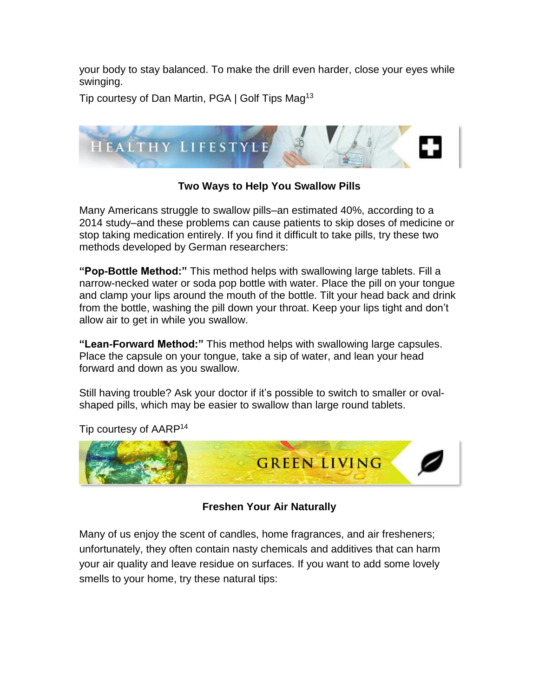your body to stay balanced. To make the drill even harder, close your eyes while swinging.

Tip courtesy of Dan Martin, PGA | Golf Tips Mag<sup>13</sup>



# **Two Ways to Help You Swallow Pills**

Many Americans struggle to swallow pills–an estimated 40%, according to a 2014 study–and these problems can cause patients to skip doses of medicine or stop taking medication entirely. If you find it difficult to take pills, try these two methods developed by German researchers:

**"Pop-Bottle Method:"** This method helps with swallowing large tablets. Fill a narrow-necked water or soda pop bottle with water. Place the pill on your tongue and clamp your lips around the mouth of the bottle. Tilt your head back and drink from the bottle, washing the pill down your throat. Keep your lips tight and don't allow air to get in while you swallow.

**"Lean-Forward Method:"** This method helps with swallowing large capsules. Place the capsule on your tongue, take a sip of water, and lean your head forward and down as you swallow.

Still having trouble? Ask your doctor if it's possible to switch to smaller or ovalshaped pills, which may be easier to swallow than large round tablets.



Tip courtesy of AARP<sup>14</sup>

**Freshen Your Air Naturally**

Many of us enjoy the scent of candles, home fragrances, and air fresheners; unfortunately, they often contain nasty chemicals and additives that can harm your air quality and leave residue on surfaces. If you want to add some lovely smells to your home, try these natural tips: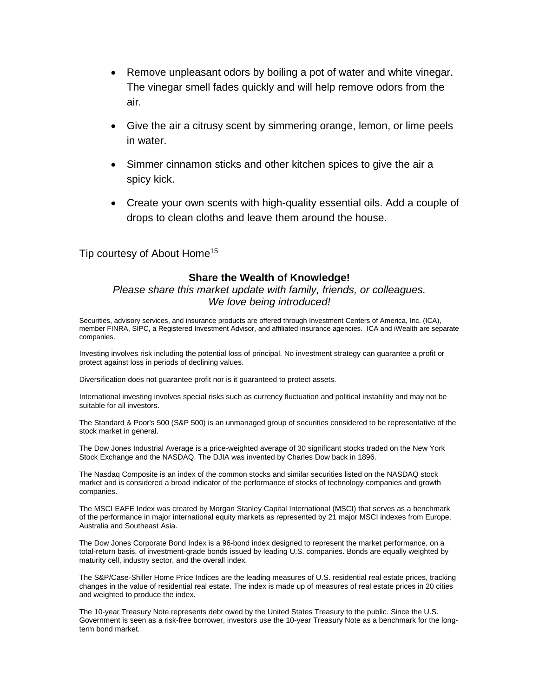- Remove unpleasant odors by boiling a pot of water and white vinegar. The vinegar smell fades quickly and will help remove odors from the air.
- Give the air a citrusy scent by simmering orange, lemon, or lime peels in water.
- Simmer cinnamon sticks and other kitchen spices to give the air a spicy kick.
- Create your own scents with high-quality essential oils. Add a couple of drops to clean cloths and leave them around the house.

#### Tip courtesy of About Home<sup>15</sup>

#### **Share the Wealth of Knowledge!**

#### *Please share this market update with family, friends, or colleagues. We love being introduced!*

Securities, advisory services, and insurance products are offered through Investment Centers of America, Inc. (ICA), member FINRA, SIPC, a Registered Investment Advisor, and affiliated insurance agencies. ICA and iWealth are separate companies.

Investing involves risk including the potential loss of principal. No investment strategy can guarantee a profit or protect against loss in periods of declining values.

Diversification does not guarantee profit nor is it guaranteed to protect assets.

International investing involves special risks such as currency fluctuation and political instability and may not be suitable for all investors.

The Standard & Poor's 500 (S&P 500) is an unmanaged group of securities considered to be representative of the stock market in general.

The Dow Jones Industrial Average is a price-weighted average of 30 significant stocks traded on the New York Stock Exchange and the NASDAQ. The DJIA was invented by Charles Dow back in 1896.

The Nasdaq Composite is an index of the common stocks and similar securities listed on the NASDAQ stock market and is considered a broad indicator of the performance of stocks of technology companies and growth companies.

The MSCI EAFE Index was created by Morgan Stanley Capital International (MSCI) that serves as a benchmark of the performance in major international equity markets as represented by 21 major MSCI indexes from Europe, Australia and Southeast Asia.

The Dow Jones Corporate Bond Index is a 96-bond index designed to represent the market performance, on a total-return basis, of investment-grade bonds issued by leading U.S. companies. Bonds are equally weighted by maturity cell, industry sector, and the overall index.

The S&P/Case-Shiller Home Price Indices are the leading measures of U.S. residential real estate prices, tracking changes in the value of residential real estate. The index is made up of measures of real estate prices in 20 cities and weighted to produce the index.

The 10-year Treasury Note represents debt owed by the United States Treasury to the public. Since the U.S. Government is seen as a risk-free borrower, investors use the 10-year Treasury Note as a benchmark for the longterm bond market.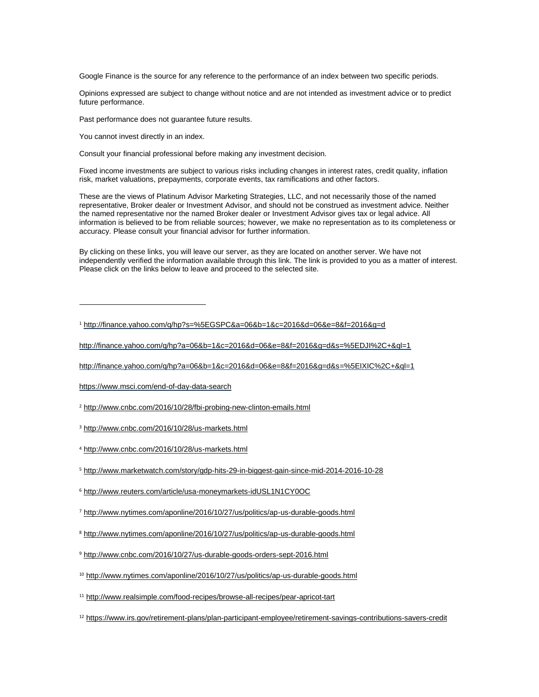Google Finance is the source for any reference to the performance of an index between two specific periods.

Opinions expressed are subject to change without notice and are not intended as investment advice or to predict future performance.

Past performance does not guarantee future results.

You cannot invest directly in an index.

Consult your financial professional before making any investment decision.

Fixed income investments are subject to various risks including changes in interest rates, credit quality, inflation risk, market valuations, prepayments, corporate events, tax ramifications and other factors.

These are the views of Platinum Advisor Marketing Strategies, LLC, and not necessarily those of the named representative, Broker dealer or Investment Advisor, and should not be construed as investment advice. Neither the named representative nor the named Broker dealer or Investment Advisor gives tax or legal advice. All information is believed to be from reliable sources; however, we make no representation as to its completeness or accuracy. Please consult your financial advisor for further information.

By clicking on these links, you will leave our server, as they are located on another server. We have not independently verified the information available through this link. The link is provided to you as a matter of interest. Please click on the links below to leave and proceed to the selected site.

<sup>1</sup> <http://finance.yahoo.com/q/hp?s=%5EGSPC&a=06&b=1&c=2016&d=06&e=8&f=2016&g=d>

[http://finance.yahoo.com/q/hp?a=06&b=1&c=2016&d=06&e=8&f=2016&g=d&s=%5EDJI%2C+&ql=1](http://finance.yahoo.com/q/hp?a=06&b=1&c=2016&d=06&e=8&f=2016&g=d&s=%255EDJI%252C+&ql=1)

[http://finance.yahoo.com/q/hp?a=06&b=1&c=2016&d=06&e=8&f=2016&g=d&s=%5EIXIC%2C+&ql=1](http://finance.yahoo.com/q/hp?a=06&b=1&c=2016&d=06&e=8&f=2016&g=d&s=%255EIXIC%252C+&ql=1)

<https://www.msci.com/end-of-day-data-search>

 $\overline{a}$ 

<sup>2</sup> <http://www.cnbc.com/2016/10/28/fbi-probing-new-clinton-emails.html>

- <sup>3</sup> <http://www.cnbc.com/2016/10/28/us-markets.html>
- <sup>4</sup> <http://www.cnbc.com/2016/10/28/us-markets.html>
- <sup>5</sup> <http://www.marketwatch.com/story/gdp-hits-29-in-biggest-gain-since-mid-2014-2016-10-28>
- <sup>6</sup> <http://www.reuters.com/article/usa-moneymarkets-idUSL1N1CY0OC>
- <sup>7</sup> <http://www.nytimes.com/aponline/2016/10/27/us/politics/ap-us-durable-goods.html>
- <sup>8</sup> <http://www.nytimes.com/aponline/2016/10/27/us/politics/ap-us-durable-goods.html>
- <sup>9</sup> <http://www.cnbc.com/2016/10/27/us-durable-goods-orders-sept-2016.html>
- <sup>10</sup> <http://www.nytimes.com/aponline/2016/10/27/us/politics/ap-us-durable-goods.html>

<sup>11</sup> <http://www.realsimple.com/food-recipes/browse-all-recipes/pear-apricot-tart>

<sup>12</sup> <https://www.irs.gov/retirement-plans/plan-participant-employee/retirement-savings-contributions-savers-credit>